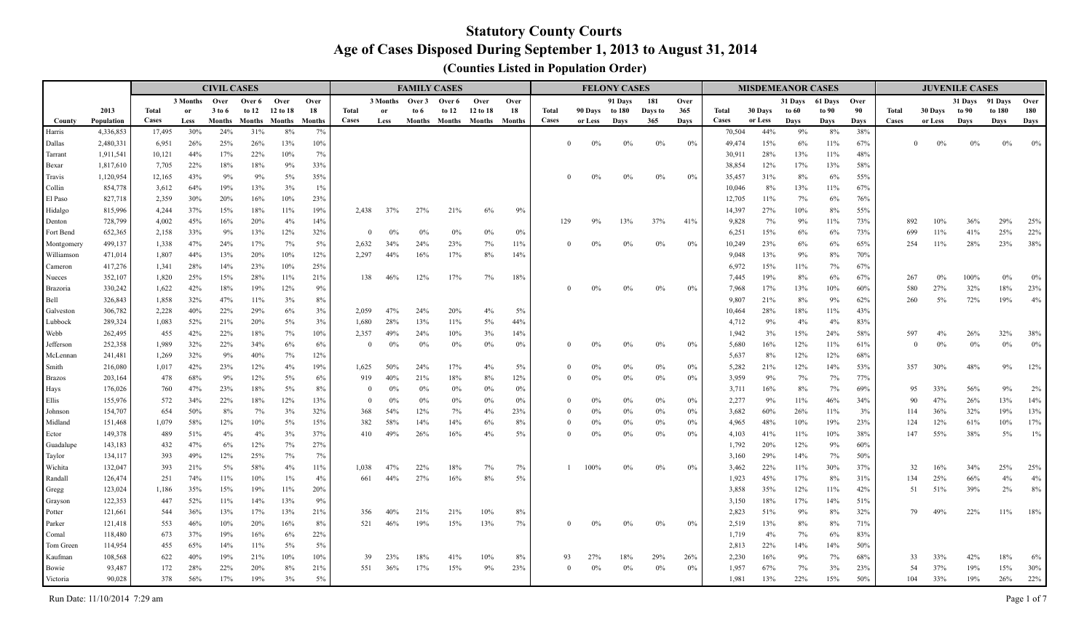|                        |                    |              |            | <b>CIVIL CASES</b> |                      |          |               |                |                 | <b>FAMILY CASES</b> |                             |             |            |              |                | <b>FELONY CASES</b> |         |       |                |          | <b>MISDEMEANOR CASES</b> |           |            |       |                | <b>JUVENILE CASES</b> |        |       |
|------------------------|--------------------|--------------|------------|--------------------|----------------------|----------|---------------|----------------|-----------------|---------------------|-----------------------------|-------------|------------|--------------|----------------|---------------------|---------|-------|----------------|----------|--------------------------|-----------|------------|-------|----------------|-----------------------|--------|-------|
|                        |                    |              | 3 Months   | Over               | Over 6               | Over     | Over          |                | 3 Months Over 3 |                     | Over 6                      | Over        | Over       |              |                | 91 Days             | 181     | Over  |                |          | 31 Days                  | 61 Days   | Over       |       |                | 31 Days 91 Days       |        | Over  |
|                        | 2013               | <b>Total</b> | or         | 3 to 6             | to 12                | 12 to 18 | 18            | Total          | or              | to 6                | to 12                       | 12 to 18    | 18         | Total        | 90 Days to 180 |                     | Days to | 365   | <b>Total</b>   | 30 Days  | to 60                    | to 90     | 90         | Total | 30 Days        | to 90                 | to 180 | 180   |
| County                 | Population         | <b>Cases</b> | Less       | Months             | <b>Months</b> Months |          | <b>Months</b> | <b>Cases</b>   | Less            |                     | Months Months Months Months |             |            | <b>Cases</b> | or Less        | Davs                | 365     | Days  | <b>Cases</b>   | or Less  | Davs                     | Days      | Davs       | Cases | or Less        | Days                  | Days   | Days  |
| Harris                 | 4,336,853          | 17,495       | 30%        | 24%                | 31%                  | 8%       | 7%            |                |                 |                     |                             |             |            |              |                |                     |         |       | 70,504         | 44%      | 9%                       | 8%        | 38%        |       |                |                       |        |       |
| Dallas                 | 2,480,331          | 6,951        | 26%        | 25%                | 26%                  | 13%      | 10%           |                |                 |                     |                             |             |            |              | $0\%$          | 0%                  | 0%      | 0%    | 49,474         | 15%      | 6%                       | 11%       | 67%        |       | 0%             | 0%                    | $0\%$  | $0\%$ |
| Tarrant                | 1,911,541          | 10,121       | 44%        | 17%                | 22%                  | 10%      | 7%            |                |                 |                     |                             |             |            |              |                |                     |         |       | 30,911         | 28%      | 13%                      | 11%       | 48%        |       |                |                       |        |       |
| Bexar                  | 1,817,610          | 7,705        | 22%        | 18%                | 18%                  | 9%       | 33%           |                |                 |                     |                             |             |            |              |                |                     |         |       | 38,854         | 12%      | 17%                      | 13%       | 58%        |       |                |                       |        |       |
| Travis                 | 1,120,954          | 12,165       | 43%        | 9%                 | 9%                   | 5%       | 35%           |                |                 |                     |                             |             |            |              | $0\%$          | $0\%$               | $0\%$   | 0%    | 35,457         | 31%      | 8%                       | 6%        | 55%        |       |                |                       |        |       |
| Collin                 | 854,778            | 3,612        | 64%        | 19%                | 13%                  | 3%       | 1%            |                |                 |                     |                             |             |            |              |                |                     |         |       | 10,046         | 8%       | 13%                      | 11%       | 67%        |       |                |                       |        |       |
| El Paso                | 827,718            | 2,359        | 30%        | 20%                | 16%                  | 10%      | 23%           |                |                 |                     |                             |             |            |              |                |                     |         |       | 12,705         | 11%      | 7%                       | 6%        | 76%        |       |                |                       |        |       |
| Hidalgo                | 815,996            | 4,244        | 37%        | 15%                | 18%                  | 11%      | 19%           | 2,438          | 37%             | 27%                 | 21%                         | 6%          | 9%         |              |                |                     |         |       | 14,397         | 27%      | 10%                      | 8%        | 55%        |       |                |                       |        |       |
| Denton                 | 728,799            | 4,002        | 45%        | 16%                | 20%                  | 4%       | 14%           |                |                 |                     |                             |             |            | 129          | 9%             | 13%                 | 37%     | 41%   | 9,828          | 7%       | 9%                       | 11%       | 73%        | 892   | 10%            | 36%                   | 29%    | 25%   |
| Fort Bend              | 652,365            | 2,158        | 33%        | 9%                 | 13%                  | 12%      | 32%           | $\mathbf{0}$   | $0\%$           | $0\%$               | $0\%$                       | $0\%$       | $0\%$      |              |                |                     |         |       | 6,251          | 15%      | 6%                       | 6%        | 73%        | 699   | 11%            | 41%                   | 25%    | 22%   |
| Montgomery             | 499,137            | 1,338        | 47%        | 24%                | 17%                  | 7%       | 5%            | 2,632          | 34%             | 24%                 | 23%                         | 7%          | 11%        |              | $0\%$          | $0\%$               | $0\%$   | $0\%$ | 10,249         | 23%      | 6%                       | 6%        | 65%        | 254   | 11%            | 28%                   | 23%    | 38%   |
| Williamson             | 471,014            | 1,807        | 44%        | 13%                | 20%                  | 10%      | 12%           | 2,297          | 44%             | 16%                 | 17%                         | 8%          | 14%        |              |                |                     |         |       | 9,048          | 13%      | 9%                       | 8%        | 70%        |       |                |                       |        |       |
| Cameron                | 417,276            | 1,341        | 28%        | 14%                | 23%                  | 10%      | 25%           |                |                 |                     |                             |             |            |              |                |                     |         |       | 6,972          | 15%      | 11%                      | 7%        | 67%        |       |                |                       |        |       |
| Nueces                 | 352,107            | 1,820        | 25%        | 15%                | 28%                  | 11%      | 21%           | 138            | 46%             | 12%                 | 17%                         | 7%          | 18%        |              | $0\%$          |                     |         |       | 7,445          | 19%      | 8%                       | 6%        | 67%        | 267   | 0%             | 100%                  | $0\%$  | $0\%$ |
| <b>Brazoria</b>        | 330,242            | 1,622        | 42%        | 18%                | 19%                  | 12%      | 9%            |                |                 |                     |                             |             |            |              |                | $0\%$               | $0\%$   | 0%    | 7,968          | 17%      | 13%                      | 10%       | 60%        | 580   | 27%            | 32%                   | 18%    | 23%   |
| Bell                   | 326,843            | 1,858        | 32%        | 47%                | 11%                  | 3%       | 8%            |                |                 |                     |                             |             |            |              |                |                     |         |       | 9,807          | 21%      | 8%                       | 9%        | 62%        | 260   | 5%             | 72%                   | 19%    | 4%    |
| Galveston              | 306,782            | 2,228        | 40%        | 22%                | 29%                  | 6%       | 3%            | 2,059          | 47%             | 24%                 | 20%                         | 4%          | 5%         |              |                |                     |         |       | 10,464         | 28%      | 18%                      | 11%       | 43%        |       |                |                       |        |       |
| Lubbock<br><b>Webb</b> | 289,324<br>262,495 | 1,083<br>455 | 52%<br>42% | 21%<br>22%         | 20%<br>18%           | 5%<br>7% | 3%            | 1,680<br>2,357 | 28%<br>49%      | 13%<br>24%          | 11%                         | $5\%$<br>3% | 44%<br>14% |              |                |                     |         |       | 4,712<br>1,942 | 9%<br>3% | 4%<br>15%                | 4%<br>24% | 83%<br>58% | 597   | 4%             | 26%                   | 32%    | 38%   |
| Jefferson              | 252,358            | 1,989        | 32%        | 22%                | 34%                  | 6%       | 10%<br>6%     | $\Omega$       | $0\%$           | 0%                  | 10%<br>0%                   | $0\%$       | 0%         |              | $0\%$          | 0%                  | $0\%$   | 0%    | 5,680          | 16%      | 12%                      | 11%       | 61%        |       | 0%<br>$\Omega$ | 0%                    | $0\%$  | $0\%$ |
| McLennan               | 241,481            | 1,269        | 32%        | 9%                 | 40%                  | 7%       | 12%           |                |                 |                     |                             |             |            |              |                |                     |         |       | 5,637          | 8%       | 12%                      | 12%       | 68%        |       |                |                       |        |       |
| Smith                  | 216,080            | 1,017        | 42%        | 23%                | 12%                  | 4%       | 19%           | 1,625          | 50%             | 24%                 | 17%                         | $4\%$       | 5%         | $\Omega$     | $0\%$          | $0\%$               | $0\%$   | $0\%$ | 5,282          | 21%      | 12%                      | 14%       | 53%        | 357   | 30%            | 48%                   | $9\%$  | 12%   |
| <b>Brazos</b>          | 203,164            | 478          | 68%        | 9%                 | 12%                  | 5%       | 6%            | 919            | 40%             | 21%                 | 18%                         | 8%          | 12%        | $\Omega$     | $0\%$          | 0%                  | $0\%$   | 0%    | 3,959          | 9%       | 7%                       | 7%        | 77%        |       |                |                       |        |       |
| Hays                   | 176,026            | 760          | 47%        | 23%                | 18%                  | 5%       | 8%            | $\Omega$       | $0\%$           | $0\%$               | $0\%$                       | $0\%$       | 0%         |              |                |                     |         |       | 3,711          | 16%      | 8%                       | 7%        | 69%        | 95    | 33%            | 56%                   | 9%     | $2\%$ |
| Ellis                  | 155,976            | 572          | 34%        | 22%                | 18%                  | 12%      | 13%           | $\Omega$       | $0\%$           | $0\%$               | $0\%$                       | $0\%$       | 0%         |              | $0\%$          | 0%                  | $0\%$   | $0\%$ | 2,277          | 9%       | 11%                      | 46%       | 34%        | 90    | 47%            | 26%                   | 13%    | 14%   |
| Johnson                | 154,707            | 654          | 50%        | 8%                 | $7\%$                | 3%       | 32%           | 368            | 54%             | 12%                 | 7%                          | 4%          | 23%        | $\Omega$     | $0\%$          | 0%                  | $0\%$   | $0\%$ | 3,682          | 60%      | 26%                      | 11%       | 3%         | 114   | 36%            | 32%                   | 19%    | 13%   |
| Midland                | 151,468            | 1,079        | 58%        | 12%                | 10%                  | 5%       | 15%           | 382            | 58%             | 14%                 | 14%                         | 6%          | 8%         | $\Omega$     | $0\%$          | 0%                  | $0\%$   | $0\%$ | 4,965          | 48%      | 10%                      | 19%       | 23%        | 124   | 12%            | 61%                   | 10%    | 17%   |
| Ector                  | 149,378            | 489          | 51%        | 4%                 | 4%                   | 3%       | 37%           | 410            | 49%             | 26%                 | 16%                         | 4%          | 5%         |              | $0\%$          | 0%                  | $0\%$   | $0\%$ | 4,103          | 41%      | 11%                      | 10%       | 38%        | 147   | 55%            | 38%                   | $5\%$  | $1\%$ |
| Guadalupe              | 143,183            | 432          | 47%        | 6%                 | 12%                  | 7%       | 27%           |                |                 |                     |                             |             |            |              |                |                     |         |       | 1,792          | 20%      | 12%                      | 9%        | 60%        |       |                |                       |        |       |
| Taylor                 | 134,117            | 393          | 49%        | 12%                | 25%                  | 7%       | 7%            |                |                 |                     |                             |             |            |              |                |                     |         |       | 3,160          | 29%      | 14%                      | 7%        | 50%        |       |                |                       |        |       |
| Wichita                | 132,047            | 393          | 21%        | $5\%$              | 58%                  | 4%       | 11%           | 1.038          | 47%             | 22%                 | 18%                         | 7%          | 7%         |              | 100%           | 0%                  | $0\%$   | 0%    | 3,462          | 22%      | 11%                      | 30%       | 37%        | 32    | 16%            | 34%                   | 25%    | 25%   |
| Randall                | 126,474            | 251          | 74%        | 11%                | 10%                  | $1\%$    | 4%            | 661            | 44%             | 27%                 | 16%                         | 8%          | 5%         |              |                |                     |         |       | 1,923          | 45%      | 17%                      | 8%        | 31%        | 134   | 25%            | 66%                   | 4%     | $4\%$ |
| Gregg                  | 123,024            | 1,186        | 35%        | 15%                | 19%                  | 11%      | 20%           |                |                 |                     |                             |             |            |              |                |                     |         |       | 3,858          | 35%      | 12%                      | 11%       | 42%        | 51    | 51%            | 39%                   | 2%     | $8\%$ |
| Grayson                | 122,353            | 447          | 52%        | 11%                | 14%                  | 13%      | 9%            |                |                 |                     |                             |             |            |              |                |                     |         |       | 3,150          | 18%      | 17%                      | 14%       | 51%        |       |                |                       |        |       |
| Potter                 | 121,661            | 544          | 36%        | 13%                | 17%                  | 13%      | 21%           | 356            | 40%             | 21%                 | 21%                         | 10%         | 8%         |              |                |                     |         |       | 2,823          | 51%      | 9%                       | 8%        | 32%        |       | 49%<br>79      | 22%                   | 11%    | 18%   |
| Parker                 | 121,418            | 553          | 46%        | 10%                | 20%                  | 16%      | 8%            | 521            | 46%             | 19%                 | 15%                         | 13%         | 7%         |              |                | $0\%$               | 0%      | 0%    | 2,519          | 13%      | 8%                       | 8%        | 71%        |       |                |                       |        |       |
| Comal                  | 118,480            | 673          | 37%        | 19%                | 16%                  | 6%       | 22%           |                |                 |                     |                             |             |            |              |                |                     |         |       | 1,719          | 4%       | 7%                       | 6%        | 83%        |       |                |                       |        |       |
| Tom Green              | 114,954            | 455          | 65%        | 14%                | $11\%$               | 5%       | 5%            |                |                 |                     |                             |             |            |              |                |                     |         |       | 2,813          | 22%      | 14%                      | 14%       | 50%        |       |                |                       |        |       |
| Kaufman                | 108,568            | 622          | 40%        | 19%                | 21%                  | 10%      | 10%           | 39             | 23%             | 18%                 | 41%                         | 10%         | 8%         | 93           | 27%            | 18%                 | 29%     | 26%   | 2,230          | 16%      | 9%                       | 7%        | 68%        | 33    | 33%            | 42%                   | 18%    | 6%    |
| Bowie                  | 93,487             | 172          | 28%        | 22%                | 20%                  | 8%       | 21%           | 551            | 36%             | 17%                 | 15%                         | 9%          | 23%        | $\Omega$     | $0\%$          | $0\%$               | $0\%$   | 0%    | 1,957          | 67%      | 7%                       | 3%        | 23%        | 54    | 37%            | 19%                   | 15%    | 30%   |
| <b>Victoria</b>        | 90.028             | 378          | 56%        | 17%                | 19%                  | 3%       | $5\%$         |                |                 |                     |                             |             |            |              |                |                     |         |       | 1.981          | 13%      | 22%                      | 15%       | 50%        | 104   | 33%            | 19%                   | 26%    | 22%   |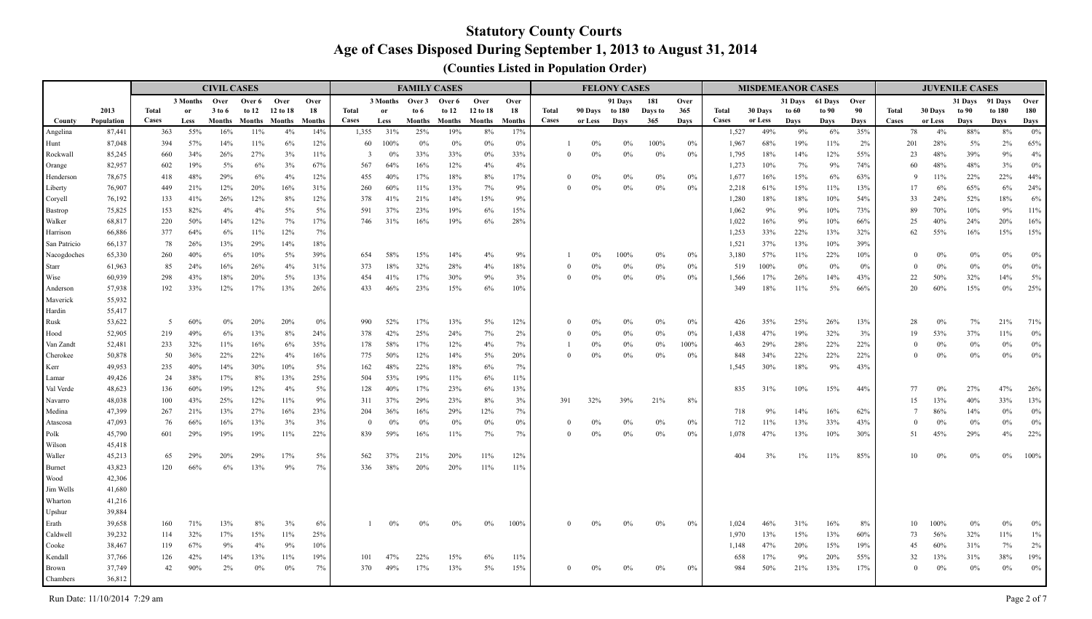|                           |                  |              |               | <b>CIVIL CASES</b> |                      |           |            |                |            |                 | <b>FAMILY CASES</b> |           |               |              |                | <b>FELONY CASES</b> |                |             |                |            | <b>MISDEMEANOR CASES</b> |           |            |          |           | <b>JUVENILE CASES</b> |              |            |
|---------------------------|------------------|--------------|---------------|--------------------|----------------------|-----------|------------|----------------|------------|-----------------|---------------------|-----------|---------------|--------------|----------------|---------------------|----------------|-------------|----------------|------------|--------------------------|-----------|------------|----------|-----------|-----------------------|--------------|------------|
|                           |                  |              | 3 Months Over |                    | Over 6               | Over      | Over       |                |            | 3 Months Over 3 | Over 6              | Over      | Over          |              |                | 91 Days             | 181            | Over        |                |            | 31 Days                  | 61 Days   | Over       |          |           | 31 Days 91 Days       |              | Over       |
|                           | 2013             | <b>Total</b> | or            | 3 to 6             | to $12$              | 12 to 18  | 18         | Total          | or         | to 6            | to $12$             | 12 to 18  | 18            | <b>Total</b> | 90 Days to 180 |                     | Days to        | 365         | <b>Total</b>   | 30 Days    | to 60                    | to 90     | 90         | Total    | 30 Days   | to 90                 | to 180       | 180        |
| County                    | Population       | <b>Cases</b> | Less          | Months             | <b>Months</b> Months |           | Months     | Cases          | Less       | <b>Months</b>   | Months              | Months    | <b>Months</b> | Cases        | or Less        | Days                | 365            | Days        | Cases          | or Less    | Days                     | Days      | Days       | Cases    | or Less   | Days                  | Days         | Days       |
| Angelina                  | 87,441           | 363          | 55%           | 16%                | 11%                  | 4%        | 14%        | 1,355          | 31%        | 25%             | 19%                 | 8%        | 17%           |              |                |                     |                |             | 1,527          | 49%        | 9%                       | 6%        | 35%        | 78       | 4%        | 88%                   | $8\%$        | $0\%$      |
| Hunt                      | 87,048           | 394          | 57%           | 14%                | 11%                  | 6%        | 12%        | 60             | 100%       | $0\%$           | 0%                  | $0\%$     | $0\%$         |              | $0\%$          | 0%                  | 100%           | $0\%$       | 1,967          | 68%        | 19%                      | 11%       | 2%         | 201      | 28%       | 5%                    | 2%           | 65%        |
| Rockwall                  | 85,245           | 660          | 34%           | 26%<br>5%          | 27%<br>6%            | 3%        | 11%        | $\overline{3}$ | $0\%$      | 33%             | 33%                 | $0\%$     | 33%           | $\Omega$     | $0\%$          | 0%                  | 0%             | 0%          | 1,795          | 18%        | 14%                      | 12%       | 55%        | 23       | 48%       | 39%<br>48%            | $9\%$        | 4%         |
| <b>Orange</b>             | 82,957           | 602          | 19%<br>48%    |                    |                      | 3%        | 67%        | 567            | 64%        | 16%             | 12%                 | 4%        | 4%            | $\Omega$     | $0\%$          |                     |                |             | 1,273          | 10%        | 7%                       | 9%        | 74%        | 60<br>9  | 48%       | 22%                   | 3%           | $0\%$      |
| Henderson                 | 78,675<br>76,907 | 418          | 21%           | 29%<br>12%         | 6%<br>20%            | 4%<br>16% | 12%<br>31% | 455            | 40%<br>60% | 17%<br>11%      | 18%                 | 8%        | 17%<br>9%     | $\Omega$     | $0\%$          | 0%<br>$0\%$         | $0\%$<br>$0\%$ | $0\%$<br>0% | 1,677          | 16%<br>61% | 15%<br>15%               | 6%<br>11% | 63%<br>13% | 17       | 11%<br>6% | 65%                   | 22%<br>$6\%$ | 44%<br>24% |
| Liberty                   |                  | 449<br>133   |               | 26%                | 12%                  | 8%        | 12%        | 260<br>378     | 41%        | 21%             | 13%                 | 7%<br>15% | 9%            |              |                |                     |                |             | 2,218<br>1,280 | 18%        | 18%                      | 10%       | 54%        | 33       | 24%       | 52%                   | 18%          | $6\%$      |
| Coryell<br><b>Bastrop</b> | 76,192<br>75,825 | 153          | 41%<br>82%    | 4%                 | 4%                   | 5%        | 5%         | 591            | 37%        | 23%             | 14%<br>19%          | 6%        | 15%           |              |                |                     |                |             | 1,062          | 9%         | 9%                       | 10%       | 73%        | 89       | 70%       | 10%                   | 9%           | 11%        |
| Walker                    | 68,817           | 220          | 50%           | 14%                | 12%                  | 7%        | 17%        | 746            | 31%        | 16%             | 19%                 | 6%        | 28%           |              |                |                     |                |             | 1,022          | 16%        | 9%                       | 10%       | 66%        | 25       | 40%       | 24%                   | 20%          | 16%        |
| Harrison                  | 66,886           | 377          | 64%           | 6%                 | 11%                  | 12%       | 7%         |                |            |                 |                     |           |               |              |                |                     |                |             | 1,253          | 33%        | 22%                      | 13%       | 32%        | 62       | 55%       | 16%                   | 15%          | 15%        |
| San Patricio              | 66,137           | 78           | 26%           | 13%                | 29%                  | 14%       | 18%        |                |            |                 |                     |           |               |              |                |                     |                |             | 1,521          | 37%        | 13%                      | 10%       | 39%        |          |           |                       |              |            |
| Nacogdoches               | 65,330           | 260          | 40%           | 6%                 | 10%                  | 5%        | 39%        | 654            | 58%        | 15%             | 14%                 | 4%        | 9%            |              | 0%             | 100%                | $0\%$          | $0\%$       | 3,180          | 57%        | 11%                      | 22%       | 10%        | $\Omega$ | 0%        | 0%                    | $0\%$        | $0\%$      |
| Starr                     | 61,963           | 85           | 24%           | 16%                | 26%                  | 4%        | 31%        | 373            | 18%        | 32%             | 28%                 | 4%        | 18%           | $\Omega$     | $0\%$          | $0\%$               | $0\%$          | $0\%$       | 519            | 100%       | $0\%$                    | $0\%$     | 0%         | $\theta$ | 0%        | $0\%$                 | $0\%$        | $0\%$      |
| Wise                      | 60,939           | 298          | 43%           | 18%                | 20%                  | 5%        | 13%        | 454            | 41%        | 17%             | 30%                 | 9%        | 3%            | $\Omega$     | $0\%$          | $0\%$               | $0\%$          | $0\%$       | 1,566          | 17%        | 26%                      | 14%       | 43%        | 22       | 50%       | 32%                   | 14%          | $5\%$      |
| Anderson                  | 57,938           | 192          | 33%           | 12%                | 17%                  | 13%       | 26%        | 433            | 46%        | 23%             | 15%                 | $6\%$     | 10%           |              |                |                     |                |             | 349            | 18%        | 11%                      | 5%        | 66%        | 20       | 60%       | 15%                   | $0\%$        | 25%        |
| Maverick                  | 55,932           |              |               |                    |                      |           |            |                |            |                 |                     |           |               |              |                |                     |                |             |                |            |                          |           |            |          |           |                       |              |            |
| Hardin                    | 55,417           |              |               |                    |                      |           |            |                |            |                 |                     |           |               |              |                |                     |                |             |                |            |                          |           |            |          |           |                       |              |            |
| Rusk                      | 53,622           | 5            | 60%           | 0%                 | 20%                  | 20%       | 0%         | 990            | 52%        | 17%             | 13%                 | $5\%$     | 12%           |              | 0%             | $0\%$               | 0%             | $0\%$       | 426            | 35%        | 25%                      | 26%       | 13%        | 28       | 0%        | 7%                    | 21%          | 71%        |
| Hood                      | 52,905           | 219          | 49%           | 6%                 | 13%                  | 8%        | 24%        | 378            | 42%        | 25%             | 24%                 | 7%        | 2%            |              | $0\%$          | $0\%$               | $0\%$          | $0\%$       | 1,438          | 47%        | 19%                      | 32%       | 3%         | 19       | 53%       | 37%                   | $11\%$       | $0\%$      |
| Van Zandt                 | 52,481           | 233          | 32%           | 11%                | 16%                  | 6%        | 35%        | 178            | 58%        | 17%             | 12%                 | 4%        | 7%            |              | $0\%$          | $0\%$               | $0\%$          | 100%        | 463            | 29%        | 28%                      | 22%       | 22%        | $\theta$ | 0%        | $0\%$                 | $0\%$        | $0\%$      |
| Cherokee                  | 50,878           | 50           | 36%           | 22%                | 22%                  | 4%        | 16%        | 775            | 50%        | 12%             | 14%                 | 5%        | 20%           |              | $0\%$          | $0\%$               | $0\%$          | 0%          | 848            | 34%        | 22%                      | 22%       | 22%        | $\theta$ | 0%        | 0%                    | $0\%$        | $0\%$      |
| Kerr                      | 49,953           | 235          | 40%           | 14%                | 30%                  | 10%       | 5%         | 162            | 48%        | 22%             | 18%                 | 6%        | 7%            |              |                |                     |                |             | 1,545          | 30%        | 18%                      | 9%        | 43%        |          |           |                       |              |            |
| Lamar                     | 49,426           | 24           | 38%           | 17%                | $8\%$                | 13%       | 25%        | 504            | 53%        | 19%             | 11%                 | 6%        | 11%           |              |                |                     |                |             |                |            |                          |           |            |          |           |                       |              |            |
| Val Verde                 | 48,623           | 136          | 60%           | 19%                | 12%                  | 4%        | 5%         | 128            | 40%        | 17%             | 23%                 | 6%        | 13%           |              |                |                     |                |             | 835            | 31%        | 10%                      | 15%       | 44%        | 77       | 0%        | 27%                   | 47%          | 26%        |
| Navarro                   | 48,038           | 100          | 43%           | 25%                | 12%                  | 11%       | 9%         | 311            | 37%        | 29%             | 23%                 | 8%        | 3%            | 391          | 32%            | 39%                 | 21%            | 8%          |                |            |                          |           |            | 15       | 13%       | 40%                   | 33%          | 13%        |
| Medina                    | 47,399           | 267          | 21%           | 13%                | 27%                  | 16%       | 23%        | 204            | 36%        | 16%             | 29%                 | 12%       | 7%            |              |                |                     |                |             | 718            | 9%         | 14%                      | 16%       | 62%        | 7        | 86%       | 14%                   | $0\%$        | $0\%$      |
| Atascosa                  | 47,093           | 76           | 66%           | 16%                | 13%                  | 3%        | 3%         | $\Omega$       | $0\%$      | 0%              | 0%                  | $0\%$     | $0\%$         |              | $0\%$          | $0\%$               | $0\%$          | $0\%$       | 712            | 11%        | 13%                      | 33%       | 43%        | $\theta$ | 0%        | $0\%$                 | $0\%$        | $0\%$      |
| Polk                      | 45,790           | 601          | 29%           | 19%                | 19%                  | 11%       | 22%        | 839            | 59%        | 16%             | 11%                 | 7%        | 7%            | $\Omega$     | $0\%$          | $0\%$               | $0\%$          | $0\%$       | 1,078          | 47%        | 13%                      | 10%       | 30%        | 51       | 45%       | 29%                   | 4%           | 22%        |
| Wilson                    | 45,418           |              |               |                    |                      |           |            |                |            |                 |                     |           |               |              |                |                     |                |             |                |            |                          |           |            |          |           |                       |              |            |
| Waller                    | 45,213           | 65           | 29%           | 20%                | 29%                  | 17%       | 5%         | 562            | 37%        | 21%             | 20%                 | 11%       | 12%           |              |                |                     |                |             | 404            | 3%         | $1\%$                    | 11%       | 85%        | 10       | 0%        | 0%                    | $0\%$        | 100%       |
| Burnet                    | 43,823           | 120          | 66%           | 6%                 | 13%                  | 9%        | 7%         | 336            | 38%        | 20%             | 20%                 | $11\%$    | 11%           |              |                |                     |                |             |                |            |                          |           |            |          |           |                       |              |            |
| Wood                      | 42,306           |              |               |                    |                      |           |            |                |            |                 |                     |           |               |              |                |                     |                |             |                |            |                          |           |            |          |           |                       |              |            |
| Jim Wells                 | 41,680           |              |               |                    |                      |           |            |                |            |                 |                     |           |               |              |                |                     |                |             |                |            |                          |           |            |          |           |                       |              |            |
| Wharton                   | 41,216           |              |               |                    |                      |           |            |                |            |                 |                     |           |               |              |                |                     |                |             |                |            |                          |           |            |          |           |                       |              |            |
| Upshur                    | 39,884           |              |               |                    |                      |           |            |                |            |                 |                     |           |               |              |                |                     |                |             |                |            |                          |           |            |          |           |                       |              |            |
| Erath                     | 39,658           | 160          | 71%           | 13%                | $8\%$                | 3%        | 6%         |                | $0\%$      | $0\%$           | 0%                  | $0\%$     | 100%          | $\Omega$     | $0\%$          | $0\%$               | $0\%$          | $0\%$       | 1,024          | 46%        | 31%                      | 16%       | $8\%$      | 10       | 100%      | 0%                    | $0\%$        | $0\%$      |
| Caldwell                  | 39,232           | 114          | 32%           | 17%                | 15%                  | 11%       | 25%        |                |            |                 |                     |           |               |              |                |                     |                |             | 1,970          | 13%        | 15%                      | 13%       | 60%        | 73       | 56%       | 32%                   | $11\%$       | $1\%$      |
| Cooke                     | 38,467           | 119          | 67%           | 9%                 | 4%                   | 9%        | 10%        |                |            |                 |                     |           |               |              |                |                     |                |             | 1,148          | 47%        | 20%                      | 15%       | 19%        | 45       | 60%       | 31%                   | 7%           | 2%         |
| Kendall                   | 37,766           | 126          | 42%           | 14%                | 13%                  | 11%       | 19%        | 101            | 47%        | 22%             | 15%                 | 6%        | 11%           |              |                |                     |                |             | 658            | 17%        | 9%                       | 20%       | 55%        | 32       | 13%       | 31%                   | 38%          | 19%        |
| Brown                     | 37,749           | 42           | 90%           | $2\%$              | $0\%$                | $0\%$     | 7%         | 370            | 49%        | 17%             | 13%                 | $5\%$     | 15%           | $\Omega$     | $0\%$          | $0\%$               | $0\%$          | $0\%$       | 984            | 50%        | 21%                      | 13%       | 17%        | $\Omega$ | 0%        | 0%                    | $0\%$        | $0\%$      |
| Chambers                  | 36,812           |              |               |                    |                      |           |            |                |            |                 |                     |           |               |              |                |                     |                |             |                |            |                          |           |            |          |           |                       |              |            |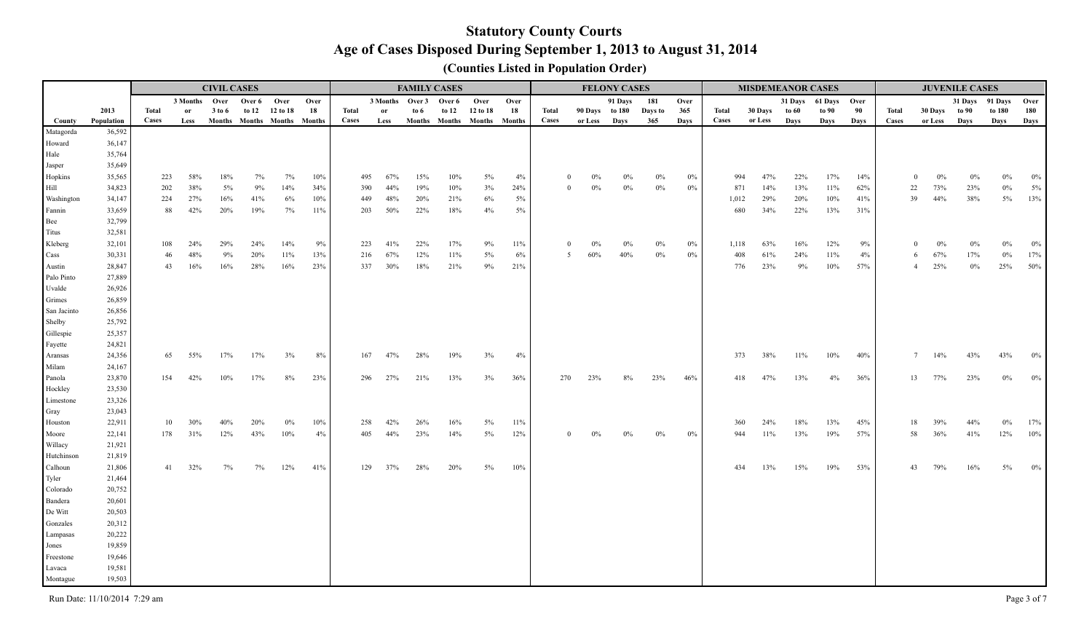|                 |                  |           |               | <b>CIVIL CASES</b> |            |                             |           |              |                          |        | <b>FAMILY CASES</b> |                             |              |          |                | <b>FELONY CASES</b> |         |                |              | <b>MISDEMEANOR CASES</b> |            |                 |          |              |                       | <b>JUVENILE CASES</b> |        |              |
|-----------------|------------------|-----------|---------------|--------------------|------------|-----------------------------|-----------|--------------|--------------------------|--------|---------------------|-----------------------------|--------------|----------|----------------|---------------------|---------|----------------|--------------|--------------------------|------------|-----------------|----------|--------------|-----------------------|-----------------------|--------|--------------|
|                 |                  |           | 3 Months Over |                    |            | Over 6 Over                 | Over      |              | 3 Months Over 3 Over 6   |        |                     | Over                        | Over         |          |                | 91 Days             | 181     | Over           |              |                          |            | 31 Days 61 Days | Over     |              |                       | 31 Days 91 Days       |        | Over         |
|                 | 2013             | Total     | <sub>or</sub> | 3 to 6             | to 12      | 12 to 18                    | 18        | <b>Total</b> | or                       | to $6$ | to 12               | 12 to 18                    | 18           | Total    | 90 Days to 180 |                     | Days to | 365            | Total        | 30 Days                  | to 60      | to 90           | 90       | <b>Total</b> | 30 Days               | to 90                 | to 180 | 180          |
| County          | Population       | Cases     | Less          |                    |            | Months Months Months Months |           | <b>Cases</b> | Less                     |        |                     | Months Months Months Months |              | Cases    | or Less        | Days                | 365     | Days           | Cases        | or Less                  | Days       | Days            | Days     | Cases        | or Less               | Days                  | Days   | Days         |
| Matagorda       | 36,592           |           |               |                    |            |                             |           |              |                          |        |                     |                             |              |          |                |                     |         |                |              |                          |            |                 |          |              |                       |                       |        |              |
| Howard          | 36,147           |           |               |                    |            |                             |           |              |                          |        |                     |                             |              |          |                |                     |         |                |              |                          |            |                 |          |              |                       |                       |        |              |
| Hale            | 35,764           |           |               |                    |            |                             |           |              |                          |        |                     |                             |              |          |                |                     |         |                |              |                          |            |                 |          |              |                       |                       |        |              |
| Jasper          | 35,649           |           |               |                    |            |                             |           |              |                          |        |                     |                             |              |          |                |                     |         |                |              |                          |            |                 |          |              |                       |                       |        |              |
| Hopkins         | 35,565           | 223       | 58%           | 18%                | 7%         | 7%                          | 10%       |              | 495<br>67%               | 15%    | 10%                 | 5%                          | 4%           |          | 0%             |                     |         | $0\%$          | 994          | 47%                      | 22%        | 17%             | 14%      |              | $\Omega$<br>0%        | 0%                    |        | $0\%$        |
| Hill            | 34,823           | 202       | 38%           | $5\%$              | 9%         | 14%                         | 34%       |              | 390<br>44%               | 19%    | 10%                 | 3%                          | 24%          | $\Omega$ | $0\%$          | $0\%$               | $0\%$   | $0\%$          | 871          | 14%                      | 13%        | 11%             | 62%      |              | 22<br>73%             | 23%                   | $0\%$  | 5%           |
| Washington      | 34,147           | 224       | 27%           | 16%                | 41%        | 6%                          | 10%       |              | 48%<br>449               | 20%    | 21%                 | $6\%$                       | $5\%$        |          |                |                     |         |                | 1,012        | 29%                      | 20%        | 10%             | 41%      |              | 44%<br>39             | 38%                   | $5\%$  | 13%          |
| Fannin          | 33,659           | 88        | 42%           | 20%                | 19%        | 7%                          | 11%       |              | 203<br>50%               | 22%    | 18%                 | 4%                          | $5\%$        |          |                |                     |         |                | 680          | 34%                      | 22%        | 13%             | 31%      |              |                       |                       |        |              |
| Bee             | 32,799           |           |               |                    |            |                             |           |              |                          |        |                     |                             |              |          |                |                     |         |                |              |                          |            |                 |          |              |                       |                       |        |              |
| Titus           | 32,581           |           |               | 29%                |            | 14%                         |           |              |                          | 22%    |                     |                             |              |          |                |                     |         |                |              |                          |            |                 |          |              | $\Omega$              |                       |        |              |
| Kleberg<br>Cass | 32,101<br>30,331 | 108<br>46 | 24%<br>48%    | 9%                 | 24%<br>20% | 11%                         | 9%<br>13% |              | 223<br>41%<br>67%<br>216 | 12%    | 17%<br>11%          | 9%<br>5%                    | 11%<br>$6\%$ | 5        | 0%<br>60%      | 40%                 | $0\%$   | $0\%$<br>$0\%$ | 1,118<br>408 | 63%<br>61%               | 16%<br>24% | 12%<br>11%      | 9%<br>4% |              | 0%<br>67%<br>6        | 17%                   | $0\%$  | $0\%$<br>17% |
| Austin          | 28,847           | 43        | 16%           | 16%                | 28%        | 16%                         | 23%       |              | 337<br>30%               | 18%    | 21%                 | $9\%$                       | 21%          |          |                |                     |         |                | 776          | 23%                      | $9\%$      | 10%             | 57%      |              | 25%<br>$\overline{4}$ | $0\%$                 | 25%    | 50%          |
| Palo Pinto      | 27,889           |           |               |                    |            |                             |           |              |                          |        |                     |                             |              |          |                |                     |         |                |              |                          |            |                 |          |              |                       |                       |        |              |
| Uvalde          | 26,926           |           |               |                    |            |                             |           |              |                          |        |                     |                             |              |          |                |                     |         |                |              |                          |            |                 |          |              |                       |                       |        |              |
| Grimes          | 26,859           |           |               |                    |            |                             |           |              |                          |        |                     |                             |              |          |                |                     |         |                |              |                          |            |                 |          |              |                       |                       |        |              |
| San Jacinto     | 26,856           |           |               |                    |            |                             |           |              |                          |        |                     |                             |              |          |                |                     |         |                |              |                          |            |                 |          |              |                       |                       |        |              |
| Shelby          | 25,792           |           |               |                    |            |                             |           |              |                          |        |                     |                             |              |          |                |                     |         |                |              |                          |            |                 |          |              |                       |                       |        |              |
| Gillespie       | 25,357           |           |               |                    |            |                             |           |              |                          |        |                     |                             |              |          |                |                     |         |                |              |                          |            |                 |          |              |                       |                       |        |              |
| Fayette         | 24,821           |           |               |                    |            |                             |           |              |                          |        |                     |                             |              |          |                |                     |         |                |              |                          |            |                 |          |              |                       |                       |        |              |
| Aransas         | 24,356           | 65        | 55%           | 17%                | 17%        | 3%                          | 8%        |              | 47%<br>167               | 28%    | 19%                 | 3%                          | 4%           |          |                |                     |         |                | 373          | 38%                      | 11%        | 10%             | 40%      |              | 14%<br>$\tau$         | 43%                   | 43%    | $0\%$        |
| Milam           | 24,167           |           |               |                    |            |                             |           |              |                          |        |                     |                             |              |          |                |                     |         |                |              |                          |            |                 |          |              |                       |                       |        |              |
| Panola          | 23,870           | 154       | 42%           | 10%                | 17%        | 8%                          | 23%       |              | 27%<br>296               | 21%    | 13%                 | 3%                          | 36%          | 270      | 23%            | 8%                  | 23%     | 46%            | 418          | 47%                      | 13%        | 4%              | 36%      |              | 13<br>77%             | 23%                   | $0\%$  | $0\%$        |
| Hockley         | 23,530           |           |               |                    |            |                             |           |              |                          |        |                     |                             |              |          |                |                     |         |                |              |                          |            |                 |          |              |                       |                       |        |              |
| Limestone       | 23,326           |           |               |                    |            |                             |           |              |                          |        |                     |                             |              |          |                |                     |         |                |              |                          |            |                 |          |              |                       |                       |        |              |
| Gray            | 23,043           |           |               |                    |            |                             |           |              |                          |        |                     |                             |              |          |                |                     |         |                |              |                          |            |                 |          |              |                       |                       |        |              |
| Houston         | 22,911           |           | 30%<br>10     |                    | 20%        | 0%                          | 10%       |              | 42%<br>258               | 26%    | 16%                 | $5\%$                       | 11%          |          |                |                     |         |                | 360          | 24%                      | 18%        | 13%             | 45%      |              | 39%<br>18             | 44%                   | $0\%$  | 17%          |
| Moore           | 22,141           | 178       | 31%           | 12%                | 43%        | 10%                         | 4%        |              | 44%<br>405               | 23%    | 14%                 | $5\%$                       | 12%          | $\Omega$ | $0\%$          | $0\%$               | $0\%$   | $0\%$          | 944          | 11%                      | 13%        | 19%             | 57%      |              | 36%<br>58             | 41%                   | 12%    | $10\%$       |
| Willacy         | 21,921           |           |               |                    |            |                             |           |              |                          |        |                     |                             |              |          |                |                     |         |                |              |                          |            |                 |          |              |                       |                       |        |              |
| Hutchinson      | 21,819           |           |               |                    |            |                             |           |              |                          |        |                     |                             |              |          |                |                     |         |                |              |                          |            |                 |          |              |                       |                       |        |              |
| Calhoun         | 21,806           | 41        | 32%           | $7\%$              | 7%         | 12%                         | 41%       |              | 37%<br>129               | 28%    | 20%                 | $5\%$                       | $10\%$       |          |                |                     |         |                | 434          | 13%                      | 15%        | 19%             | 53%      |              | 79%<br>43             | 16%                   | $5\%$  | $0\%$        |
| Tyler           | 21,464           |           |               |                    |            |                             |           |              |                          |        |                     |                             |              |          |                |                     |         |                |              |                          |            |                 |          |              |                       |                       |        |              |
| Colorado        | 20,752           |           |               |                    |            |                             |           |              |                          |        |                     |                             |              |          |                |                     |         |                |              |                          |            |                 |          |              |                       |                       |        |              |
| Bandera         | 20,601           |           |               |                    |            |                             |           |              |                          |        |                     |                             |              |          |                |                     |         |                |              |                          |            |                 |          |              |                       |                       |        |              |
| De Witt         | 20,503           |           |               |                    |            |                             |           |              |                          |        |                     |                             |              |          |                |                     |         |                |              |                          |            |                 |          |              |                       |                       |        |              |
| Gonzales        | 20,312           |           |               |                    |            |                             |           |              |                          |        |                     |                             |              |          |                |                     |         |                |              |                          |            |                 |          |              |                       |                       |        |              |
| Lampasas        | 20,222           |           |               |                    |            |                             |           |              |                          |        |                     |                             |              |          |                |                     |         |                |              |                          |            |                 |          |              |                       |                       |        |              |
| Jones           | 19,859           |           |               |                    |            |                             |           |              |                          |        |                     |                             |              |          |                |                     |         |                |              |                          |            |                 |          |              |                       |                       |        |              |
| Freestone       | 19,646           |           |               |                    |            |                             |           |              |                          |        |                     |                             |              |          |                |                     |         |                |              |                          |            |                 |          |              |                       |                       |        |              |
| Lavaca          | 19,581           |           |               |                    |            |                             |           |              |                          |        |                     |                             |              |          |                |                     |         |                |              |                          |            |                 |          |              |                       |                       |        |              |
| Montague        | 19,503           |           |               |                    |            |                             |           |              |                          |        |                     |                             |              |          |                |                     |         |                |              |                          |            |                 |          |              |                       |                       |        |              |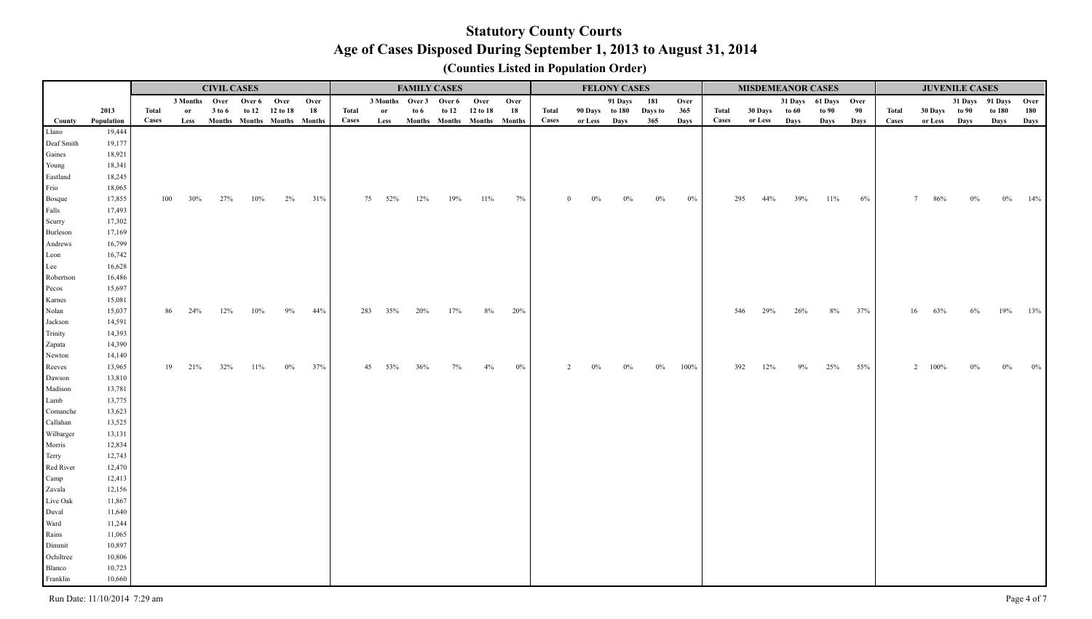|                        |                  |       |               | <b>CIVIL CASES</b> |        |                             |      |       |                        | <b>FAMILY CASES</b> |       |                             |       |          |       | <b>FELONY CASES</b> |         |       |       | <b>MISDEMEANOR CASES</b> |      |                      |       |              |               | <b>JUVENILE CASES</b> |                 |       |
|------------------------|------------------|-------|---------------|--------------------|--------|-----------------------------|------|-------|------------------------|---------------------|-------|-----------------------------|-------|----------|-------|---------------------|---------|-------|-------|--------------------------|------|----------------------|-------|--------------|---------------|-----------------------|-----------------|-------|
|                        |                  |       |               | 3 Months Over      |        | Over 6 Over                 | Over |       | 3 Months Over 3 Over 6 |                     |       | Over                        | Over  |          |       | 91 Days             | 181     | Over  |       |                          |      | 31 Days 61 Days Over |       |              |               |                       | 31 Days 91 Days | Over  |
|                        | 2013             | Total | <sub>or</sub> | 3 to 6             |        | to 12 12 to 18              | 18   | Total | or                     | to 6                | to 12 | 12 to 18                    | 18    | Total    |       | 90 Days to 180      | Days to | 365   | Total | 30 Days to 60            |      | to 90                | 90    | <b>Total</b> | 30 Days to 90 |                       | to 180          | 180   |
| County                 | Population       | Cases | Less          |                    |        | Months Months Months Months |      | Cases | Less                   |                     |       | Months Months Months Months |       | Cases    |       | or Less Days        | 365     | Days  | Cases | or Less                  | Days | Days                 | Days  | Cases        | or Less Days  |                       | Days            | Days  |
| Llano                  | 19,444           |       |               |                    |        |                             |      |       |                        |                     |       |                             |       |          |       |                     |         |       |       |                          |      |                      |       |              |               |                       |                 |       |
| Deaf Smith             | 19,177           |       |               |                    |        |                             |      |       |                        |                     |       |                             |       |          |       |                     |         |       |       |                          |      |                      |       |              |               |                       |                 |       |
| Gaines                 | 18,921           |       |               |                    |        |                             |      |       |                        |                     |       |                             |       |          |       |                     |         |       |       |                          |      |                      |       |              |               |                       |                 |       |
| Young                  | 18,341           |       |               |                    |        |                             |      |       |                        |                     |       |                             |       |          |       |                     |         |       |       |                          |      |                      |       |              |               |                       |                 |       |
| Eastland               | 18,245<br>18,065 |       |               |                    |        |                             |      |       |                        |                     |       |                             |       |          |       |                     |         |       |       |                          |      |                      |       |              |               |                       |                 |       |
| Frio                   | 17,855           | 100   | 30%           | 27%                | 10%    | 2%                          | 31%  |       | 75<br>52%              | 12%                 | 19%   | $11\%$                      | 7%    | $\Omega$ | $0\%$ | $0\%$               | $0\%$   | $0\%$ | 295   | 44%                      | 39%  | 11%                  | $6\%$ |              | 86%           |                       |                 | 14%   |
| <b>Bosque</b><br>Falls | 17,493           |       |               |                    |        |                             |      |       |                        |                     |       |                             |       |          |       |                     |         |       |       |                          |      |                      |       |              |               |                       |                 |       |
| Scurry                 | 17,302           |       |               |                    |        |                             |      |       |                        |                     |       |                             |       |          |       |                     |         |       |       |                          |      |                      |       |              |               |                       |                 |       |
| Burleson               | 17,169           |       |               |                    |        |                             |      |       |                        |                     |       |                             |       |          |       |                     |         |       |       |                          |      |                      |       |              |               |                       |                 |       |
| Andrews                | 16,799           |       |               |                    |        |                             |      |       |                        |                     |       |                             |       |          |       |                     |         |       |       |                          |      |                      |       |              |               |                       |                 |       |
| Leon                   | 16,742           |       |               |                    |        |                             |      |       |                        |                     |       |                             |       |          |       |                     |         |       |       |                          |      |                      |       |              |               |                       |                 |       |
| Lee                    | 16,628           |       |               |                    |        |                             |      |       |                        |                     |       |                             |       |          |       |                     |         |       |       |                          |      |                      |       |              |               |                       |                 |       |
| Robertson              | 16,486           |       |               |                    |        |                             |      |       |                        |                     |       |                             |       |          |       |                     |         |       |       |                          |      |                      |       |              |               |                       |                 |       |
| Pecos                  | 15,697           |       |               |                    |        |                             |      |       |                        |                     |       |                             |       |          |       |                     |         |       |       |                          |      |                      |       |              |               |                       |                 |       |
| Karnes                 | 15,081           |       |               |                    |        |                             |      |       |                        |                     |       |                             |       |          |       |                     |         |       |       |                          |      |                      |       |              |               |                       |                 |       |
| Nolan                  | 15,037           | 86    | 24%           | 12%                | 10%    | 9%                          | 44%  |       | 283<br>35%             | 20%                 | 17%   | $8\%$                       | 20%   |          |       |                     |         |       |       | 29%                      | 26%  | 8%                   | 37%   |              | 16<br>63%     | 6%                    | 19%             | 13%   |
| Jackson                | 14,591           |       |               |                    |        |                             |      |       |                        |                     |       |                             |       |          |       |                     |         |       |       |                          |      |                      |       |              |               |                       |                 |       |
| Trinity                | 14,393           |       |               |                    |        |                             |      |       |                        |                     |       |                             |       |          |       |                     |         |       |       |                          |      |                      |       |              |               |                       |                 |       |
| Zapata                 | 14,390           |       |               |                    |        |                             |      |       |                        |                     |       |                             |       |          |       |                     |         |       |       |                          |      |                      |       |              |               |                       |                 |       |
| Newton                 | 14,140           |       |               |                    |        |                             |      |       |                        |                     |       |                             |       |          |       |                     |         |       |       |                          |      |                      |       |              |               |                       |                 |       |
| Reeves                 | 13,965           |       | 19<br>21%     | 32%                | $11\%$ | $0\%$                       | 37%  |       | 53%<br>45              | 36%                 | 7%    | 4%                          | $0\%$ |          |       |                     | $0\%$   | 100%  | 392   | 12%                      | 9%   | 25%                  | 55%   |              | 2<br>100%     |                       |                 | $0\%$ |
| Dawson                 | 13,810           |       |               |                    |        |                             |      |       |                        |                     |       |                             |       |          |       |                     |         |       |       |                          |      |                      |       |              |               |                       |                 |       |
| Madison                | 13,781           |       |               |                    |        |                             |      |       |                        |                     |       |                             |       |          |       |                     |         |       |       |                          |      |                      |       |              |               |                       |                 |       |
| Lamb                   | 13,775           |       |               |                    |        |                             |      |       |                        |                     |       |                             |       |          |       |                     |         |       |       |                          |      |                      |       |              |               |                       |                 |       |
| Comanche               | 13,623           |       |               |                    |        |                             |      |       |                        |                     |       |                             |       |          |       |                     |         |       |       |                          |      |                      |       |              |               |                       |                 |       |
| Callahan               | 13,525           |       |               |                    |        |                             |      |       |                        |                     |       |                             |       |          |       |                     |         |       |       |                          |      |                      |       |              |               |                       |                 |       |
| Wilbarger              | 13,131           |       |               |                    |        |                             |      |       |                        |                     |       |                             |       |          |       |                     |         |       |       |                          |      |                      |       |              |               |                       |                 |       |
| Morris                 | 12,834<br>12,743 |       |               |                    |        |                             |      |       |                        |                     |       |                             |       |          |       |                     |         |       |       |                          |      |                      |       |              |               |                       |                 |       |
| Terry                  |                  |       |               |                    |        |                             |      |       |                        |                     |       |                             |       |          |       |                     |         |       |       |                          |      |                      |       |              |               |                       |                 |       |
| Red River<br>Camp      | 12,470<br>12,413 |       |               |                    |        |                             |      |       |                        |                     |       |                             |       |          |       |                     |         |       |       |                          |      |                      |       |              |               |                       |                 |       |
| Zavala                 | 12,156           |       |               |                    |        |                             |      |       |                        |                     |       |                             |       |          |       |                     |         |       |       |                          |      |                      |       |              |               |                       |                 |       |
| Live Oak               | 11,867           |       |               |                    |        |                             |      |       |                        |                     |       |                             |       |          |       |                     |         |       |       |                          |      |                      |       |              |               |                       |                 |       |
| Duval                  | 11,640           |       |               |                    |        |                             |      |       |                        |                     |       |                             |       |          |       |                     |         |       |       |                          |      |                      |       |              |               |                       |                 |       |
| Ward                   | 11,244           |       |               |                    |        |                             |      |       |                        |                     |       |                             |       |          |       |                     |         |       |       |                          |      |                      |       |              |               |                       |                 |       |
| Rains                  | 11,065           |       |               |                    |        |                             |      |       |                        |                     |       |                             |       |          |       |                     |         |       |       |                          |      |                      |       |              |               |                       |                 |       |
| Dimmit                 | 10,897           |       |               |                    |        |                             |      |       |                        |                     |       |                             |       |          |       |                     |         |       |       |                          |      |                      |       |              |               |                       |                 |       |
| Ochiltree              | 10,806           |       |               |                    |        |                             |      |       |                        |                     |       |                             |       |          |       |                     |         |       |       |                          |      |                      |       |              |               |                       |                 |       |
| Blanco                 | 10,723           |       |               |                    |        |                             |      |       |                        |                     |       |                             |       |          |       |                     |         |       |       |                          |      |                      |       |              |               |                       |                 |       |
| Franklin               | 10,660           |       |               |                    |        |                             |      |       |                        |                     |       |                             |       |          |       |                     |         |       |       |                          |      |                      |       |              |               |                       |                 |       |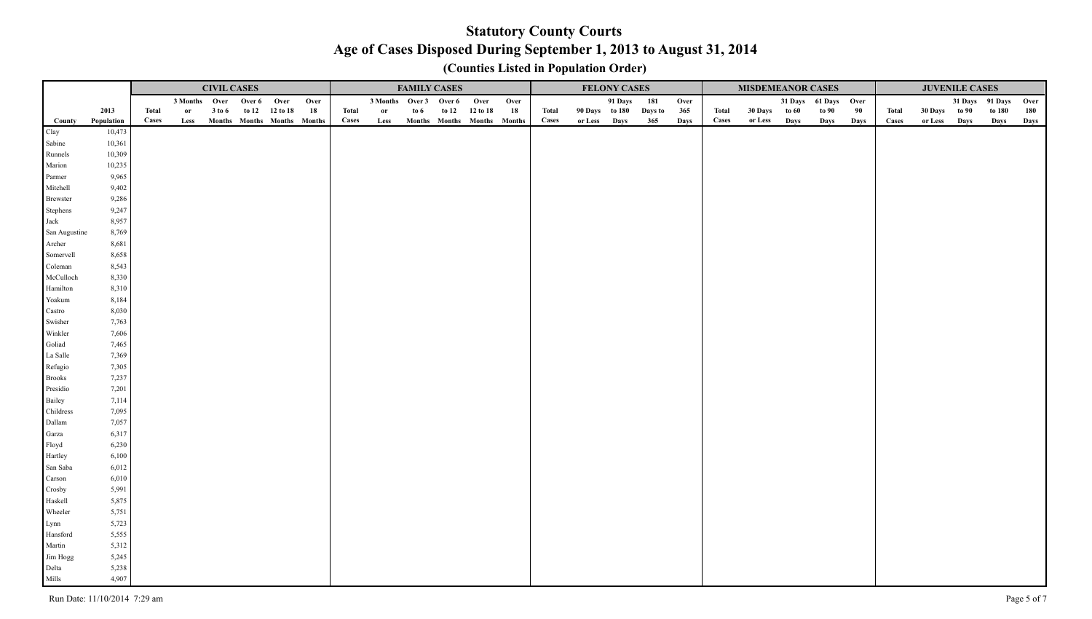|               |            |       |               | <b>CIVIL CASES</b> |                             |      |       |                        | <b>FAMILY CASES</b> |                             |      |       |                | <b>FELONY CASES</b> |         |      |       | <b>MISDEMEANOR CASES</b> |      |                      |      |              |               | <b>JUVENILE CASES</b> |        |      |
|---------------|------------|-------|---------------|--------------------|-----------------------------|------|-------|------------------------|---------------------|-----------------------------|------|-------|----------------|---------------------|---------|------|-------|--------------------------|------|----------------------|------|--------------|---------------|-----------------------|--------|------|
|               |            |       | 3 Months Over |                    | Over 6 Over                 | Over |       | 3 Months Over 3 Over 6 |                     | Over                        | Over |       |                | 91 Days             | 181     | Over |       |                          |      | 31 Days 61 Days Over |      |              |               | 31 Days 91 Days       |        | Over |
|               | 2013       | Total | or            | 3 to 6             | to 12 12 to 18              | 18   | Total | or                     | to $61$             | to 12 12 to 18              | 18   | Total | 90 Days to 180 |                     | Days to | 365  | Total | 30 Days to 60            |      | to 90                | 90   | <b>Total</b> | 30 Days to 90 |                       | to 180 | 180  |
| County        | Population | Cases | Less          |                    | Months Months Months Months |      | Cases | Less                   |                     | Months Months Months Months |      | Cases | or Less Days   |                     | 365     | Days | Cases | or Less                  | Days | Days                 | Days | Cases        | or Less Days  |                       | Days   | Days |
| Clay          | 10,473     |       |               |                    |                             |      |       |                        |                     |                             |      |       |                |                     |         |      |       |                          |      |                      |      |              |               |                       |        |      |
| Sabine        | 10,361     |       |               |                    |                             |      |       |                        |                     |                             |      |       |                |                     |         |      |       |                          |      |                      |      |              |               |                       |        |      |
| Runnels       | 10,309     |       |               |                    |                             |      |       |                        |                     |                             |      |       |                |                     |         |      |       |                          |      |                      |      |              |               |                       |        |      |
| Marion        | 10,235     |       |               |                    |                             |      |       |                        |                     |                             |      |       |                |                     |         |      |       |                          |      |                      |      |              |               |                       |        |      |
| Parmer        | 9,965      |       |               |                    |                             |      |       |                        |                     |                             |      |       |                |                     |         |      |       |                          |      |                      |      |              |               |                       |        |      |
| Mitchell      | 9,402      |       |               |                    |                             |      |       |                        |                     |                             |      |       |                |                     |         |      |       |                          |      |                      |      |              |               |                       |        |      |
| Brewster      | 9,286      |       |               |                    |                             |      |       |                        |                     |                             |      |       |                |                     |         |      |       |                          |      |                      |      |              |               |                       |        |      |
| Stephens      | 9,247      |       |               |                    |                             |      |       |                        |                     |                             |      |       |                |                     |         |      |       |                          |      |                      |      |              |               |                       |        |      |
| Jack          | 8,957      |       |               |                    |                             |      |       |                        |                     |                             |      |       |                |                     |         |      |       |                          |      |                      |      |              |               |                       |        |      |
| San Augustine | 8,769      |       |               |                    |                             |      |       |                        |                     |                             |      |       |                |                     |         |      |       |                          |      |                      |      |              |               |                       |        |      |
| Archer        | 8,681      |       |               |                    |                             |      |       |                        |                     |                             |      |       |                |                     |         |      |       |                          |      |                      |      |              |               |                       |        |      |
| Somervell     | 8,658      |       |               |                    |                             |      |       |                        |                     |                             |      |       |                |                     |         |      |       |                          |      |                      |      |              |               |                       |        |      |
| Coleman       | 8,543      |       |               |                    |                             |      |       |                        |                     |                             |      |       |                |                     |         |      |       |                          |      |                      |      |              |               |                       |        |      |
| McCulloch     | 8,330      |       |               |                    |                             |      |       |                        |                     |                             |      |       |                |                     |         |      |       |                          |      |                      |      |              |               |                       |        |      |
| Hamilton      | 8,310      |       |               |                    |                             |      |       |                        |                     |                             |      |       |                |                     |         |      |       |                          |      |                      |      |              |               |                       |        |      |
| Yoakum        | 8,184      |       |               |                    |                             |      |       |                        |                     |                             |      |       |                |                     |         |      |       |                          |      |                      |      |              |               |                       |        |      |
| Castro        | 8,030      |       |               |                    |                             |      |       |                        |                     |                             |      |       |                |                     |         |      |       |                          |      |                      |      |              |               |                       |        |      |
| Swisher       | 7,763      |       |               |                    |                             |      |       |                        |                     |                             |      |       |                |                     |         |      |       |                          |      |                      |      |              |               |                       |        |      |
| Winkler       | 7,606      |       |               |                    |                             |      |       |                        |                     |                             |      |       |                |                     |         |      |       |                          |      |                      |      |              |               |                       |        |      |
| Goliad        | 7,465      |       |               |                    |                             |      |       |                        |                     |                             |      |       |                |                     |         |      |       |                          |      |                      |      |              |               |                       |        |      |
| La Salle      | 7,369      |       |               |                    |                             |      |       |                        |                     |                             |      |       |                |                     |         |      |       |                          |      |                      |      |              |               |                       |        |      |
| Refugio       | 7,305      |       |               |                    |                             |      |       |                        |                     |                             |      |       |                |                     |         |      |       |                          |      |                      |      |              |               |                       |        |      |
| Brooks        | 7,237      |       |               |                    |                             |      |       |                        |                     |                             |      |       |                |                     |         |      |       |                          |      |                      |      |              |               |                       |        |      |
| Presidio      | 7,201      |       |               |                    |                             |      |       |                        |                     |                             |      |       |                |                     |         |      |       |                          |      |                      |      |              |               |                       |        |      |
| Bailey        | 7,114      |       |               |                    |                             |      |       |                        |                     |                             |      |       |                |                     |         |      |       |                          |      |                      |      |              |               |                       |        |      |
| Childress     | 7,095      |       |               |                    |                             |      |       |                        |                     |                             |      |       |                |                     |         |      |       |                          |      |                      |      |              |               |                       |        |      |
| Dallam        | 7,057      |       |               |                    |                             |      |       |                        |                     |                             |      |       |                |                     |         |      |       |                          |      |                      |      |              |               |                       |        |      |
| Garza         | 6,317      |       |               |                    |                             |      |       |                        |                     |                             |      |       |                |                     |         |      |       |                          |      |                      |      |              |               |                       |        |      |
| Floyd         | 6,230      |       |               |                    |                             |      |       |                        |                     |                             |      |       |                |                     |         |      |       |                          |      |                      |      |              |               |                       |        |      |
| Hartley       | 6,100      |       |               |                    |                             |      |       |                        |                     |                             |      |       |                |                     |         |      |       |                          |      |                      |      |              |               |                       |        |      |
| San Saba      | 6,012      |       |               |                    |                             |      |       |                        |                     |                             |      |       |                |                     |         |      |       |                          |      |                      |      |              |               |                       |        |      |
| Carson        | 6,010      |       |               |                    |                             |      |       |                        |                     |                             |      |       |                |                     |         |      |       |                          |      |                      |      |              |               |                       |        |      |
| Crosby        | 5,991      |       |               |                    |                             |      |       |                        |                     |                             |      |       |                |                     |         |      |       |                          |      |                      |      |              |               |                       |        |      |
| Haskell       | 5,875      |       |               |                    |                             |      |       |                        |                     |                             |      |       |                |                     |         |      |       |                          |      |                      |      |              |               |                       |        |      |
| Wheeler       | 5,751      |       |               |                    |                             |      |       |                        |                     |                             |      |       |                |                     |         |      |       |                          |      |                      |      |              |               |                       |        |      |
| Lynn          | 5,723      |       |               |                    |                             |      |       |                        |                     |                             |      |       |                |                     |         |      |       |                          |      |                      |      |              |               |                       |        |      |
| Hansford      | 5,555      |       |               |                    |                             |      |       |                        |                     |                             |      |       |                |                     |         |      |       |                          |      |                      |      |              |               |                       |        |      |
| Martin        | 5,312      |       |               |                    |                             |      |       |                        |                     |                             |      |       |                |                     |         |      |       |                          |      |                      |      |              |               |                       |        |      |
| Jim Hogg      | 5,245      |       |               |                    |                             |      |       |                        |                     |                             |      |       |                |                     |         |      |       |                          |      |                      |      |              |               |                       |        |      |
| Delta         | 5,238      |       |               |                    |                             |      |       |                        |                     |                             |      |       |                |                     |         |      |       |                          |      |                      |      |              |               |                       |        |      |
| Mills         | 4,907      |       |               |                    |                             |      |       |                        |                     |                             |      |       |                |                     |         |      |       |                          |      |                      |      |              |               |                       |        |      |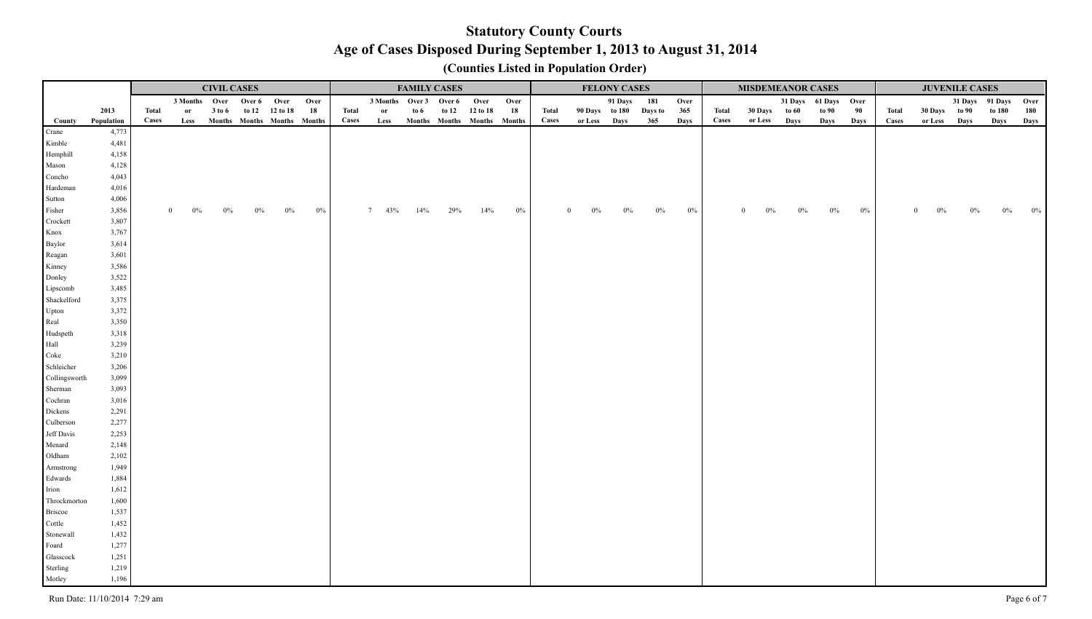|                   |                |       |               | <b>CIVIL CASES</b> |             |                             |       |       |                        | <b>FAMILY CASES</b> |     |                |                             |       |                | <b>FELONY CASES</b> |         |       |       | <b>MISDEMEANOR CASES</b> |       |                      |       |              |                         | <b>JUVENILE CASES</b> |        |      |
|-------------------|----------------|-------|---------------|--------------------|-------------|-----------------------------|-------|-------|------------------------|---------------------|-----|----------------|-----------------------------|-------|----------------|---------------------|---------|-------|-------|--------------------------|-------|----------------------|-------|--------------|-------------------------|-----------------------|--------|------|
|                   |                |       | 3 Months Over |                    | Over 6 Over |                             | Over  |       | 3 Months Over 3 Over 6 |                     |     | Over           | Over                        |       |                | 91 Days             | 181     | Over  |       |                          |       | 31 Days 61 Days Over |       |              |                         | 31 Days 91 Days       |        | Over |
|                   | 2013           | Total |               | 3 to 6             |             | to 12 12 to 18              | 18    | Total | <sub>or</sub>          | to $6\,$            |     | to 12 12 to 18 | 18                          | Total | 90 Days to 180 |                     | Days to | 365   | Total | <b>30 Days</b>           | to 60 | to 90                | 90    | <b>Total</b> | 30 Days to 90           |                       | to 180 | 180  |
| County            | Population     | Cases | Less          |                    |             | Months Months Months Months |       | Cases | Less                   |                     |     |                | Months Months Months Months | Cases | or Less Days   |                     | 365     | Days  | Cases | or Less Days             |       | Days                 | Days  | Cases        | or Less                 | Days                  | Days   | Days |
| Crane             | 4,773          |       |               |                    |             |                             |       |       |                        |                     |     |                |                             |       |                |                     |         |       |       |                          |       |                      |       |              |                         |                       |        |      |
| Kimble            | 4,481          |       |               |                    |             |                             |       |       |                        |                     |     |                |                             |       |                |                     |         |       |       |                          |       |                      |       |              |                         |                       |        |      |
| Hemphill          | 4,158          |       |               |                    |             |                             |       |       |                        |                     |     |                |                             |       |                |                     |         |       |       |                          |       |                      |       |              |                         |                       |        |      |
| Mason             | 4,128          |       |               |                    |             |                             |       |       |                        |                     |     |                |                             |       |                |                     |         |       |       |                          |       |                      |       |              |                         |                       |        |      |
| Concho            | 4,043          |       |               |                    |             |                             |       |       |                        |                     |     |                |                             |       |                |                     |         |       |       |                          |       |                      |       |              |                         |                       |        |      |
| Hardeman          | 4,016          |       |               |                    |             |                             |       |       |                        |                     |     |                |                             |       |                |                     |         |       |       |                          |       |                      |       |              |                         |                       |        |      |
| Sutton            | 4,006<br>3,856 |       | $\Omega$      |                    |             |                             |       |       |                        |                     |     |                |                             |       |                |                     |         |       |       |                          |       |                      |       |              |                         |                       |        |      |
| Fisher            | 3,807          |       | $0\%$         | 0%                 | $0\%$       | $0\%$                       | $0\%$ |       | $7\quad 43\%$          | 14%                 | 29% | 14%            | $0\%$                       |       | $0\%$          | $0\%$               | $0\%$   | $0\%$ |       |                          | $0\%$ | $0\%$                | $0\%$ |              | $\overline{0}$<br>$0\%$ | $0\%$                 |        |      |
| Crockett<br>Knox  | 3,767          |       |               |                    |             |                             |       |       |                        |                     |     |                |                             |       |                |                     |         |       |       |                          |       |                      |       |              |                         |                       |        |      |
| Baylor            | 3,614          |       |               |                    |             |                             |       |       |                        |                     |     |                |                             |       |                |                     |         |       |       |                          |       |                      |       |              |                         |                       |        |      |
| Reagan            | 3,601          |       |               |                    |             |                             |       |       |                        |                     |     |                |                             |       |                |                     |         |       |       |                          |       |                      |       |              |                         |                       |        |      |
| Kinney            | 3,586          |       |               |                    |             |                             |       |       |                        |                     |     |                |                             |       |                |                     |         |       |       |                          |       |                      |       |              |                         |                       |        |      |
| Donley            | 3,522          |       |               |                    |             |                             |       |       |                        |                     |     |                |                             |       |                |                     |         |       |       |                          |       |                      |       |              |                         |                       |        |      |
| Lipscomb          | 3,485          |       |               |                    |             |                             |       |       |                        |                     |     |                |                             |       |                |                     |         |       |       |                          |       |                      |       |              |                         |                       |        |      |
| Shackelford       | 3,375          |       |               |                    |             |                             |       |       |                        |                     |     |                |                             |       |                |                     |         |       |       |                          |       |                      |       |              |                         |                       |        |      |
| Upton             | 3,372          |       |               |                    |             |                             |       |       |                        |                     |     |                |                             |       |                |                     |         |       |       |                          |       |                      |       |              |                         |                       |        |      |
| Real              | 3,350          |       |               |                    |             |                             |       |       |                        |                     |     |                |                             |       |                |                     |         |       |       |                          |       |                      |       |              |                         |                       |        |      |
| Hudspeth          | 3,318          |       |               |                    |             |                             |       |       |                        |                     |     |                |                             |       |                |                     |         |       |       |                          |       |                      |       |              |                         |                       |        |      |
| Hall              | 3,239          |       |               |                    |             |                             |       |       |                        |                     |     |                |                             |       |                |                     |         |       |       |                          |       |                      |       |              |                         |                       |        |      |
| Coke              | 3,210          |       |               |                    |             |                             |       |       |                        |                     |     |                |                             |       |                |                     |         |       |       |                          |       |                      |       |              |                         |                       |        |      |
| Schleicher        | 3,206          |       |               |                    |             |                             |       |       |                        |                     |     |                |                             |       |                |                     |         |       |       |                          |       |                      |       |              |                         |                       |        |      |
| Collingsworth     | 3,099          |       |               |                    |             |                             |       |       |                        |                     |     |                |                             |       |                |                     |         |       |       |                          |       |                      |       |              |                         |                       |        |      |
| Sherman           | 3,093          |       |               |                    |             |                             |       |       |                        |                     |     |                |                             |       |                |                     |         |       |       |                          |       |                      |       |              |                         |                       |        |      |
| Cochran           | 3,016          |       |               |                    |             |                             |       |       |                        |                     |     |                |                             |       |                |                     |         |       |       |                          |       |                      |       |              |                         |                       |        |      |
| Dickens           | 2,291          |       |               |                    |             |                             |       |       |                        |                     |     |                |                             |       |                |                     |         |       |       |                          |       |                      |       |              |                         |                       |        |      |
| Culberson         | 2,277          |       |               |                    |             |                             |       |       |                        |                     |     |                |                             |       |                |                     |         |       |       |                          |       |                      |       |              |                         |                       |        |      |
| Jeff Davis        | 2,253          |       |               |                    |             |                             |       |       |                        |                     |     |                |                             |       |                |                     |         |       |       |                          |       |                      |       |              |                         |                       |        |      |
| Menard            | 2,148          |       |               |                    |             |                             |       |       |                        |                     |     |                |                             |       |                |                     |         |       |       |                          |       |                      |       |              |                         |                       |        |      |
| Oldham            | 2,102          |       |               |                    |             |                             |       |       |                        |                     |     |                |                             |       |                |                     |         |       |       |                          |       |                      |       |              |                         |                       |        |      |
| Armstrong         | 1,949          |       |               |                    |             |                             |       |       |                        |                     |     |                |                             |       |                |                     |         |       |       |                          |       |                      |       |              |                         |                       |        |      |
| Edwards           | 1,884          |       |               |                    |             |                             |       |       |                        |                     |     |                |                             |       |                |                     |         |       |       |                          |       |                      |       |              |                         |                       |        |      |
| Irion             | 1,612          |       |               |                    |             |                             |       |       |                        |                     |     |                |                             |       |                |                     |         |       |       |                          |       |                      |       |              |                         |                       |        |      |
| Throckmorton      | 1,600          |       |               |                    |             |                             |       |       |                        |                     |     |                |                             |       |                |                     |         |       |       |                          |       |                      |       |              |                         |                       |        |      |
| Briscoe<br>Cottle | 1,537<br>1,452 |       |               |                    |             |                             |       |       |                        |                     |     |                |                             |       |                |                     |         |       |       |                          |       |                      |       |              |                         |                       |        |      |
| Stonewall         | 1,432          |       |               |                    |             |                             |       |       |                        |                     |     |                |                             |       |                |                     |         |       |       |                          |       |                      |       |              |                         |                       |        |      |
| Foard             | 1,277          |       |               |                    |             |                             |       |       |                        |                     |     |                |                             |       |                |                     |         |       |       |                          |       |                      |       |              |                         |                       |        |      |
| Glasscock         | 1,251          |       |               |                    |             |                             |       |       |                        |                     |     |                |                             |       |                |                     |         |       |       |                          |       |                      |       |              |                         |                       |        |      |
| Sterling          | 1,219          |       |               |                    |             |                             |       |       |                        |                     |     |                |                             |       |                |                     |         |       |       |                          |       |                      |       |              |                         |                       |        |      |
| Motley            | 1,196          |       |               |                    |             |                             |       |       |                        |                     |     |                |                             |       |                |                     |         |       |       |                          |       |                      |       |              |                         |                       |        |      |